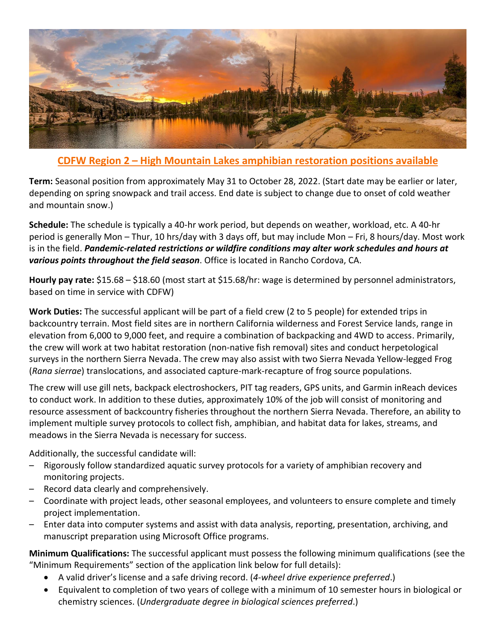

## **CDFW Region 2 – High Mountain Lakes amphibian restoration positions available**

**Term:** Seasonal position from approximately May 31 to October 28, 2022. (Start date may be earlier or later, depending on spring snowpack and trail access. End date is subject to change due to onset of cold weather and mountain snow.)

**Schedule:** The schedule is typically a 40-hr work period, but depends on weather, workload, etc. A 40-hr period is generally Mon – Thur, 10 hrs/day with 3 days off, but may include Mon – Fri, 8 hours/day. Most work is in the field. *Pandemic-related restrictions or wildfire conditions may alter work schedules and hours at various points throughout the field season*. Office is located in Rancho Cordova, CA.

**Hourly pay rate:** \$15.68 – \$18.60 (most start at \$15.68/hr: wage is determined by personnel administrators, based on time in service with CDFW)

**Work Duties:** The successful applicant will be part of a field crew (2 to 5 people) for extended trips in backcountry terrain. Most field sites are in northern California wilderness and Forest Service lands, range in elevation from 6,000 to 9,000 feet, and require a combination of backpacking and 4WD to access. Primarily, the crew will work at two habitat restoration (non-native fish removal) sites and conduct herpetological surveys in the northern Sierra Nevada. The crew may also assist with two Sierra Nevada Yellow-legged Frog (*Rana sierrae*) translocations, and associated capture-mark-recapture of frog source populations.

The crew will use gill nets, backpack electroshockers, PIT tag readers, GPS units, and Garmin inReach devices to conduct work. In addition to these duties, approximately 10% of the job will consist of monitoring and resource assessment of backcountry fisheries throughout the northern Sierra Nevada. Therefore, an ability to implement multiple survey protocols to collect fish, amphibian, and habitat data for lakes, streams, and meadows in the Sierra Nevada is necessary for success.

Additionally, the successful candidate will:

- Rigorously follow standardized aquatic survey protocols for a variety of amphibian recovery and monitoring projects.
- Record data clearly and comprehensively.
- Coordinate with project leads, other seasonal employees, and volunteers to ensure complete and timely project implementation.
- Enter data into computer systems and assist with data analysis, reporting, presentation, archiving, and manuscript preparation using Microsoft Office programs.

**Minimum Qualifications:** The successful applicant must possess the following minimum qualifications (see the "Minimum Requirements" section of the application link below for full details):

- A valid driver's license and a safe driving record. (*4-wheel drive experience preferred*.)
- Equivalent to completion of two years of college with a minimum of 10 semester hours in biological or chemistry sciences. (*Undergraduate degree in biological sciences preferred*.)